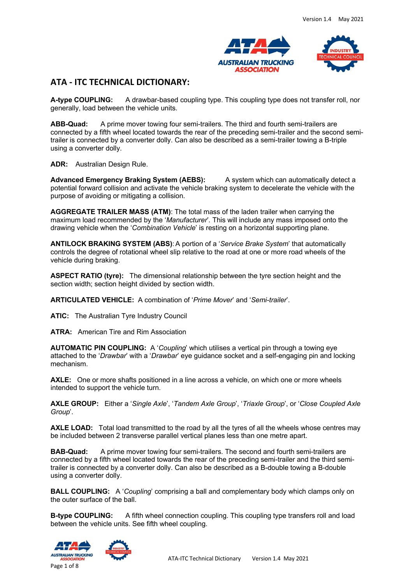



# **ATA - ITC TECHNICAL DICTIONARY:**

**A-type COUPLING:** A drawbar-based coupling type. This coupling type does not transfer roll, nor generally, load between the vehicle units.

**ABB-Quad:** A prime mover towing four semi-trailers. The third and fourth semi-trailers are connected by a fifth wheel located towards the rear of the preceding semi-trailer and the second semitrailer is connected by a converter dolly. Can also be described as a semi-trailer towing a B-triple using a converter dolly.

**ADR:** Australian Design Rule.

**Advanced Emergency Braking System (AEBS):** A system which can automatically detect a potential forward collision and activate the vehicle braking system to decelerate the vehicle with the purpose of avoiding or mitigating a collision.

**AGGREGATE TRAILER MASS (ATM)**: The total mass of the laden trailer when carrying the maximum load recommended by the '*Manufacturer*'*.* This will include any mass imposed onto the drawing vehicle when the '*Combination Vehicle*' is resting on a horizontal supporting plane.

**ANTILOCK BRAKING SYSTEM (ABS)**: A portion of a '*Service Brake System*' that automatically controls the degree of rotational wheel slip relative to the road at one or more road wheels of the vehicle during braking.

**ASPECT RATIO (tyre):** The dimensional relationship between the tyre section height and the section width; section height divided by section width.

**ARTICULATED VEHICLE:** A combination of '*Prime Mover*' and '*Semi-trailer*'.

**ATIC:** The Australian Tyre Industry Council

**ATRA:** American Tire and Rim Association

**AUTOMATIC PIN COUPLING:** A '*Coupling*' which utilises a vertical pin through a towing eye attached to the '*Drawbar*' with a '*Drawbar*' eye guidance socket and a self-engaging pin and locking mechanism.

**AXLE:** One or more shafts positioned in a line across a vehicle, on which one or more wheels intended to support the vehicle turn.

**AXLE GROUP:** Either a '*Single Axle*', '*Tandem Axle Group*', '*Triaxle Group*', or '*Close Coupled Axle Group*'.

AXLE LOAD: Total load transmitted to the road by all the tyres of all the wheels whose centres may be included between 2 transverse parallel vertical planes less than one metre apart.

**BAB-Quad:** A prime mover towing four semi-trailers. The second and fourth semi-trailers are connected by a fifth wheel located towards the rear of the preceding semi-trailer and the third semitrailer is connected by a converter dolly. Can also be described as a B-double towing a B-double using a converter dolly.

**BALL COUPLING:** A '*Coupling*' comprising a ball and complementary body which clamps only on the outer surface of the ball.

**B-type COUPLING:** A fifth wheel connection coupling. This coupling type transfers roll and load between the vehicle units. See fifth wheel coupling.





ATA-ITC Technical Dictionary Version 1.4 May 2021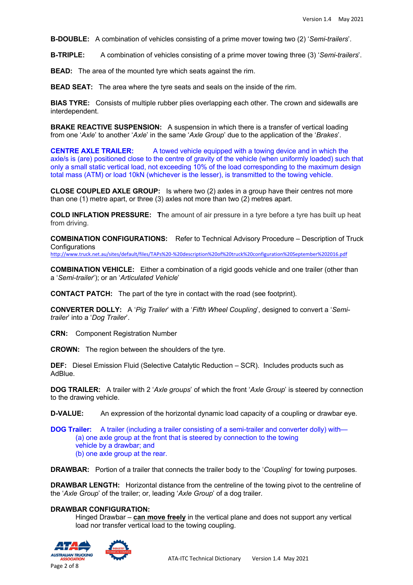**B-DOUBLE:** A combination of vehicles consisting of a prime mover towing two (2) '*Semi-trailers*'.

**B-TRIPLE:** A combination of vehicles consisting of a prime mover towing three (3) '*Semi-trailers*'.

**BEAD:** The area of the mounted tyre which seats against the rim.

**BEAD SEAT:** The area where the tyre seats and seals on the inside of the rim.

**BIAS TYRE:** Consists of multiple rubber plies overlapping each other. The crown and sidewalls are interdependent.

**BRAKE REACTIVE SUSPENSION:** A suspension in which there is a transfer of vertical loading from one '*Axle*' to another '*Axle*' in the same '*Axle Group*' due to the application of the '*Brakes*'.

**CENTRE AXLE TRAILER:** A towed vehicle equipped with a towing device and in which the axle/s is (are) positioned close to the centre of gravity of the vehicle (when uniformly loaded) such that only a small static vertical load, not exceeding 10% of the load corresponding to the maximum design total mass (ATM) or load 10kN (whichever is the lesser), is transmitted to the towing vehicle.

**CLOSE COUPLED AXLE GROUP:** Is where two (2) axles in a group have their centres not more than one (1) metre apart, or three (3) axles not more than two (2) metres apart.

**COLD INFLATION PRESSURE: T**he amount of air pressure in a tyre before a tyre has built up heat from driving.

**COMBINATION CONFIGURATIONS:** Refer to Technical Advisory Procedure – Description of Truck **Configurations** 

http://www.truck.net.au/sites/default/files/TAPs%20-%20description%20of%20truck%20configuration%20September%202016.pdf

**COMBINATION VEHICLE:** Either a combination of a rigid goods vehicle and one trailer (other than a '*Semi-trailer*'); or an '*Articulated Vehicle*'

**CONTACT PATCH:** The part of the tyre in contact with the road (see footprint).

**CONVERTER DOLLY:** A '*Pig Trailer*' with a '*Fifth Wheel Coupling*', designed to convert a '*Semitrailer*' into a '*Dog Trailer*'.

**CRN:** Component Registration Number

**CROWN:** The region between the shoulders of the tyre.

**DEF:** Diesel Emission Fluid (Selective Catalytic Reduction – SCR). Includes products such as AdBlue.

**DOG TRAILER:** A trailer with 2 '*Axle groups*' of which the front '*Axle Group*' is steered by connection to the drawing vehicle.

**D-VALUE:** An expression of the horizontal dynamic load capacity of a coupling or drawbar eye.

**DOG Trailer:** A trailer (including a trailer consisting of a semi-trailer and converter dolly) with— (a) one axle group at the front that is steered by connection to the towing vehicle by a drawbar; and (b) one axle group at the rear.

**DRAWBAR:** Portion of a trailer that connects the trailer body to the '*Coupling*' for towing purposes.

**DRAWBAR LENGTH:** Horizontal distance from the centreline of the towing pivot to the centreline of the '*Axle Group*' of the trailer; or, leading '*Axle Group*' of a dog trailer.

### **DRAWBAR CONFIGURATION:**

Hinged Drawbar – **can move freely** in the vertical plane and does not support any vertical load nor transfer vertical load to the towing coupling.



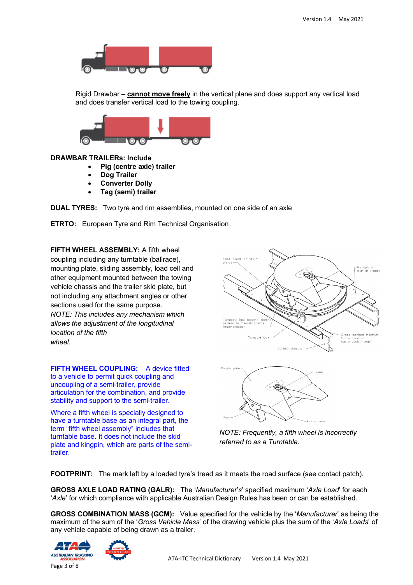

Rigid Drawbar – **cannot move freely** in the vertical plane and does support any vertical load and does transfer vertical load to the towing coupling.



### **DRAWBAR TRAILERs: Include**

- **Pig (centre axle) trailer**
- **Dog Trailer**
- **Converter Dolly**
- **Tag (semi) trailer**

**DUAL TYRES:** Two tyre and rim assemblies, mounted on one side of an axle

**ETRTO:** European Tyre and Rim Technical Organisation

**FIFTH WHEEL ASSEMBLY:** A fifth wheel coupling including any turntable (ballrace), mounting plate, sliding assembly, load cell and other equipment mounted between the towing vehicle chassis and the trailer skid plate, but not including any attachment angles or other sections used for the same purpose. *NOTE: This includes any mechanism which allows the adjustment of the longitudinal location of the fifth wheel*.

**FIFTH WHEEL COUPLING:** A device fitted to a vehicle to permit quick coupling and uncoupling of a semi-trailer, provide articulation for the combination, and provide stability and support to the semi-trailer.

Where a fifth wheel is specially designed to have a turntable base as an integral part, the term "fifth wheel assembly" includes that turntable base. It does not include the skid plate and kingpin, which are parts of the semitrailer.





*NOTE: Frequently, a fifth wheel is incorrectly referred to as a Turntable.*

**FOOTPRINT:** The mark left by a loaded tyre's tread as it meets the road surface (see contact patch).

**GROSS AXLE LOAD RATING (GALR):** The '*Manufacturer*'*s*' specified maximum '*Axle Load*' for each '*Axle*' for which compliance with applicable Australian Design Rules has been or can be established.

**GROSS COMBINATION MASS (GCM):** Value specified for the vehicle by the '*Manufacturer*' as being the maximum of the sum of the '*Gross Vehicle Mass*' of the drawing vehicle plus the sum of the '*Axle Loads*' of any vehicle capable of being drawn as a trailer.



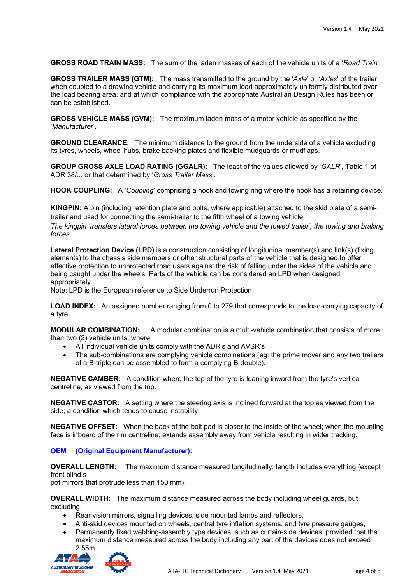**GROSS ROAD TRAIN MASS:** The sum of the laden masses of each of the vehicle units of a '*Road Train*'.

**GROSS TRAILER MASS (GTM):** The mass transmitted to the ground by the '*Axle*' or '*Axles*' of the trailer when coupled to a drawing vehicle and carrying its maximum load approximately uniformly distributed over the load bearing area, and at which compliance with the appropriate Australian Design Rules has been or can be established.

**GROSS VEHICLE MASS (GVM):** The maximum laden mass of a motor vehicle as specified by the '*Manufacturer*'.

**GROUND CLEARANCE:** The minimum distance to the ground from the underside of a vehicle excluding its tyres, wheels, wheel hubs, brake backing plates and flexible mudguards or mudflaps.

**GROUP GROSS AXLE LOAD RATING (GGALR):** The least of the values allowed by '*GALR*', Table 1 of ADR 38/... or that determined by '*Gross Trailer Mass*'.

**HOOK COUPLING:** A '*Coupling*' comprising a hook and towing ring where the hook has a retaining device.

**KINGPIN:** A pin (including retention plate and bolts, where applicable) attached to the skid plate of a semitrailer and used for connecting the semi-trailer to the fifth wheel of a towing vehicle.

*The kingpin 'transfers lateral forces between the towing vehicle and the towed trailer', the towing and braking forces.*

**Lateral Protection Device (LPD)** is a construction consisting of longitudinal member(s) and link(s) (fixing elements) to the chassis side members or other structural parts of the vehicle that is designed to offer effective protection to unprotected road users against the risk of falling under the sides of the vehicle and being caught under the wheels. Parts of the vehicle can be considered an LPD when designed appropriately.

Note: LPD is the European reference to Side Underrun Protection

**LOAD INDEX:** An assigned number ranging from 0 to 279 that corresponds to the load-carrying capacity of a tyre.

**MODULAR COMBINATION:** A modular combination is a multi-vehicle combination that consists of more than two (2) vehicle units, where:

- All individual vehicle units comply with the ADR's and AVSR's
- The sub-combinations are complying vehicle combinations (eq: the prime mover and any two trailers of a B-triple can be assembled to form a complying B-double).

**NEGATIVE CAMBER:** A condition where the top of the tyre is leaning inward from the tyre's vertical centreline, as viewed from the top.

**NEGATIVE CASTOR:** A setting where the steering axis is inclined forward at the top as viewed from the side; a condition which tends to cause instability.

**NEGATIVE OFFSET:** When the back of the bolt pad is closer to the inside of the wheel; when the mounting face is inboard of the rim centreline; extends assembly away from vehicle resulting in wider tracking.

## **OEM (Original Equipment Manufacturer):**

**OVERALL LENGTH:** The maximum distance measured longitudinally; length includes everything (except front blind s

pot mirrors that protrude less than 150 mm).

**OVERALL WIDTH:** The maximum distance measured across the body including wheel guards, but excluding:

- Rear vision mirrors, signalling devices, side mounted lamps and reflectors,
- Anti-skid devices mounted on wheels, central tyre inflation systems, and tyre pressure gauges,
- Permanently fixed webbing-assembly type devices, such as curtain-side devices, provided that the maximum distance measured across the body including any part of the devices does not exceed 2.55m.

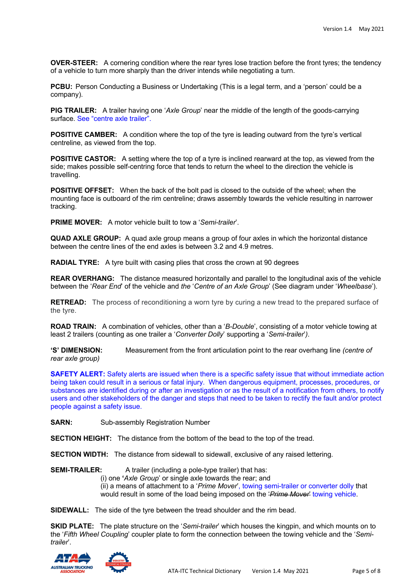**OVER-STEER:** A cornering condition where the rear tyres lose traction before the front tyres; the tendency of a vehicle to turn more sharply than the driver intends while negotiating a turn.

**PCBU:** Person Conducting a Business or Undertaking (This is a legal term, and a 'person' could be a company).

**PIG TRAILER:** A trailer having one '*Axle Group*' near the middle of the length of the goods-carrying surface. See "centre axle trailer".

**POSITIVE CAMBER:** A condition where the top of the tyre is leading outward from the tyre's vertical centreline, as viewed from the top.

**POSITIVE CASTOR:** A setting where the top of a tyre is inclined rearward at the top, as viewed from the side; makes possible self-centring force that tends to return the wheel to the direction the vehicle is travelling.

**POSITIVE OFFSET:** When the back of the bolt pad is closed to the outside of the wheel; when the mounting face is outboard of the rim centreline; draws assembly towards the vehicle resulting in narrower tracking.

**PRIME MOVER:** A motor vehicle built to tow a '*Semi-trailer*'.

**QUAD AXLE GROUP:** A quad axle group means a group of four axles in which the horizontal distance between the centre lines of the end axles is between 3.2 and 4.9 metres.

**RADIAL TYRE:** A tyre built with casing plies that cross the crown at 90 degrees

**REAR OVERHANG:** The distance measured horizontally and parallel to the longitudinal axis of the vehicle between the '*Rear End*' of the vehicle and *the* '*Centre of an Axle Group*' (See diagram under '*Wheelbase*').

**RETREAD:** The process of reconditioning a worn tyre by curing a new tread to the prepared surface of the tyre.

**ROAD TRAIN:** A combination of vehicles, other than a '*B-Double*', consisting of a motor vehicle towing at least 2 trailers (counting as one trailer a '*Converter Dolly*' supporting a '*Semi-trailer*'*)*.

**'S' DIMENSION:** Measurement from the front articulation point to the rear overhang line *(centre of rear axle group)*

**SAFETY ALERT:** Safety alerts are issued when there is a specific safety issue that without immediate action being taken could result in a serious or fatal injury. When dangerous equipment, processes, procedures, or substances are identified during or after an investigation or as the result of a notification from others, to notify users and other stakeholders of the danger and steps that need to be taken to rectify the fault and/or protect people against a safety issue.

**SARN:** Sub-assembly Registration Number

**SECTION HEIGHT:** The distance from the bottom of the bead to the top of the tread.

**SECTION WIDTH:** The distance from sidewall to sidewall, exclusive of any raised lettering.

**SEMI-TRAILER:** A trailer (including a pole-type trailer) that has:

(i) one **'***Axle Group*' or single axle towards the rear; and (ii) a means of attachment to a '*Prime Mover*', towing semi-trailer or converter dolly that would result in some of the load being imposed on the '*Prime Mover*' towing vehicle.

**SIDEWALL:** The side of the tyre between the tread shoulder and the rim bead.

**SKID PLATE:** The plate structure on the '*Semi-trailer*' which houses the kingpin, and which mounts on to the '*Fifth Wheel Coupling*' coupler plate to form the connection between the towing vehicle and the '*Semitrailer*'.

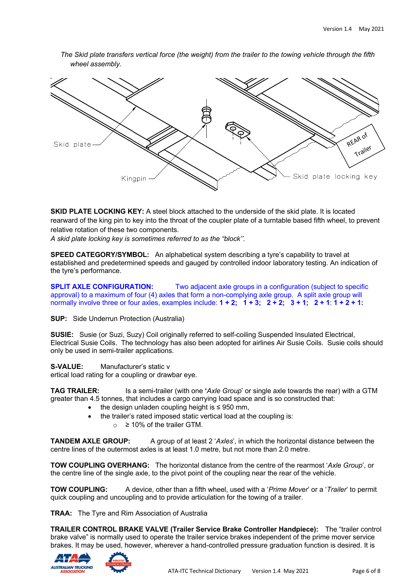

*The Skid plate transfers vertical force (the weight) from the trailer to the towing vehicle through the fifth wheel assembly.*

**SKID PLATE LOCKING KEY:** A steel block attached to the underside of the skid plate. It is located rearward of the king pin to key into the throat of the coupler plate of a turntable based fifth wheel, to prevent relative rotation of these two components.

*A skid plate locking key is sometimes referred to as the "block''.*

**SPEED CATEGORY/SYMBOL:** An alphabetical system describing a tyre's capability to travel at established and predetermined speeds and gauged by controlled indoor laboratory testing. An indication of the tyre's performance.

**SPLIT AXLE CONFIGURATION:** Two adjacent axle groups in a configuration (subject to specific approval) to a maximum of four (4) axles that form a non-complying axle group. A split axle group will normally involve three or four axles, examples include:  $1 + 2$ ;  $1 + 3$ ;  $2 + 2$ ;  $3 + 1$ ;  $2 + 1$ :  $1 + 2 + 1$ :

**SUP:** Side Underrun Protection (Australia)

**SUSIE:** Susie (or Suzi, Suzy) Coil originally referred to self-coiling Suspended Insulated Electrical, Electrical Susie Coils. The technology has also been adopted for airlines Air Susie Coils. Susie coils should only be used in semi-trailer applications.

**S-VALUE:** Manufacturer's static v ertical load rating for a coupling or drawbar eye.

**TAG TRAILER:** Is a semi-trailer (with one **'***Axle Group*' or single axle towards the rear) with a GTM greater than 4.5 tonnes, that includes a cargo carrying load space and is so constructed that:

- the design unladen coupling height is  $\leq$  950 mm.
- the trailer's rated imposed static vertical load at the coupling is:
	- $\circ$  ≥ 10% of the trailer GTM.

**TANDEM AXLE GROUP:** A group of at least 2 '*Axles*', in which the horizontal distance between the centre lines of the outermost axles is at least 1.0 metre, but not more than 2.0 metre.

**TOW COUPLING OVERHANG:** The horizontal distance from the centre of the rearmost '*Axle Group*', or the centre line of the single axle, to the pivot point of the coupling near the rear of the vehicle.

**TOW COUPLING:** A device, other than a fifth wheel, used with a '*Prime Mover*' or a '*Trailer*' to permit quick coupling and uncoupling and to provide articulation for the towing of a trailer.

**TRAA:** The Tyre and Rim Association of Australia

**TRAILER CONTROL BRAKE VALVE (Trailer Service Brake Controller Handpiece):** The "trailer control brake valve" is normally used to operate the trailer service brakes independent of the prime mover service brakes. It may be used, however, wherever a hand-controlled pressure graduation function is desired. It is



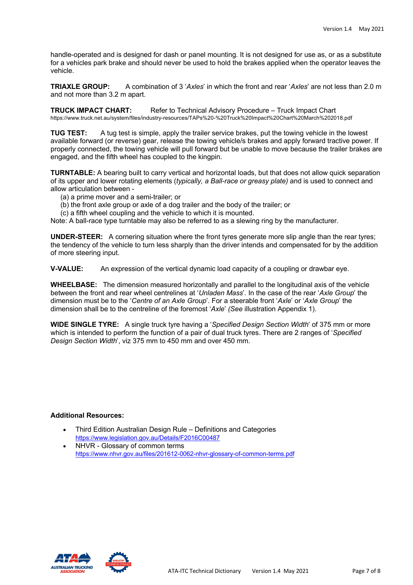handle-operated and is designed for dash or panel mounting. It is not designed for use as, or as a substitute for a vehicles park brake and should never be used to hold the brakes applied when the operator leaves the vehicle.

**TRIAXLE GROUP:** A combination of 3 '*Axles*' in which the front and rear '*Axles*' are not less than 2.0 m and not more than 3.2 m apart.

**TRUCK IMPACT CHART:** Refer to Technical Advisory Procedure – Truck Impact Chart https://www.truck.net.au/system/files/industry-resources/TAPs%20-%20Truck%20Impact%20Chart%20March%202018.pdf

**TUG TEST:** A tug test is simple, apply the trailer service brakes, put the towing vehicle in the lowest available forward (or reverse) gear, release the towing vehicle/s brakes and apply forward tractive power. If properly connected, the towing vehicle will pull forward but be unable to move because the trailer brakes are engaged, and the fifth wheel has coupled to the kingpin.

**TURNTABLE:** A bearing built to carry vertical and horizontal loads, but that does not allow quick separation of its upper and lower rotating elements (*typically, a Ball-race or greasy plate)* and is used to connect and allow articulation between -

- (a) a prime mover and a semi-trailer; or
- (b) the front axle group or axle of a dog trailer and the body of the trailer; or
- (c) a fifth wheel coupling and the vehicle to which it is mounted.

Note: A ball-race type turntable may also be referred to as a slewing ring by the manufacturer.

**UNDER-STEER:** A cornering situation where the front tyres generate more slip angle than the rear tyres; the tendency of the vehicle to turn less sharply than the driver intends and compensated for by the addition of more steering input.

**V-VALUE:** An expression of the vertical dynamic load capacity of a coupling or drawbar eye.

**WHEELBASE:** The dimension measured horizontally and parallel to the longitudinal axis of the vehicle between the front and rear wheel centrelines at '*Unladen Mass*'*.* In the case of the rear '*Axle Group*' the dimension must be to the '*Centre of an Axle Group*'*.* For a steerable front '*Axle*' or '*Axle Group*' the dimension shall be to the centreline of the foremost '*Axle*' *(See* illustration Appendix 1).

**WIDE SINGLE TYRE:** A single truck tyre having a '*Specified Design Section Width*' of 375 mm or more which is intended to perform the function of a pair of dual truck tyres. There are 2 ranges of '*Specified Design Section Width*', viz 375 mm to 450 mm and over 450 mm.

### **Additional Resources:**

- Third Edition Australian Design Rule Definitions and Categories https://www.legislation.gov.au/Details/F2016C00487
- NHVR Glossary of common terms https://www.nhvr.gov.au/files/201612-0062-nhvr-glossary-of-common-terms.pdf